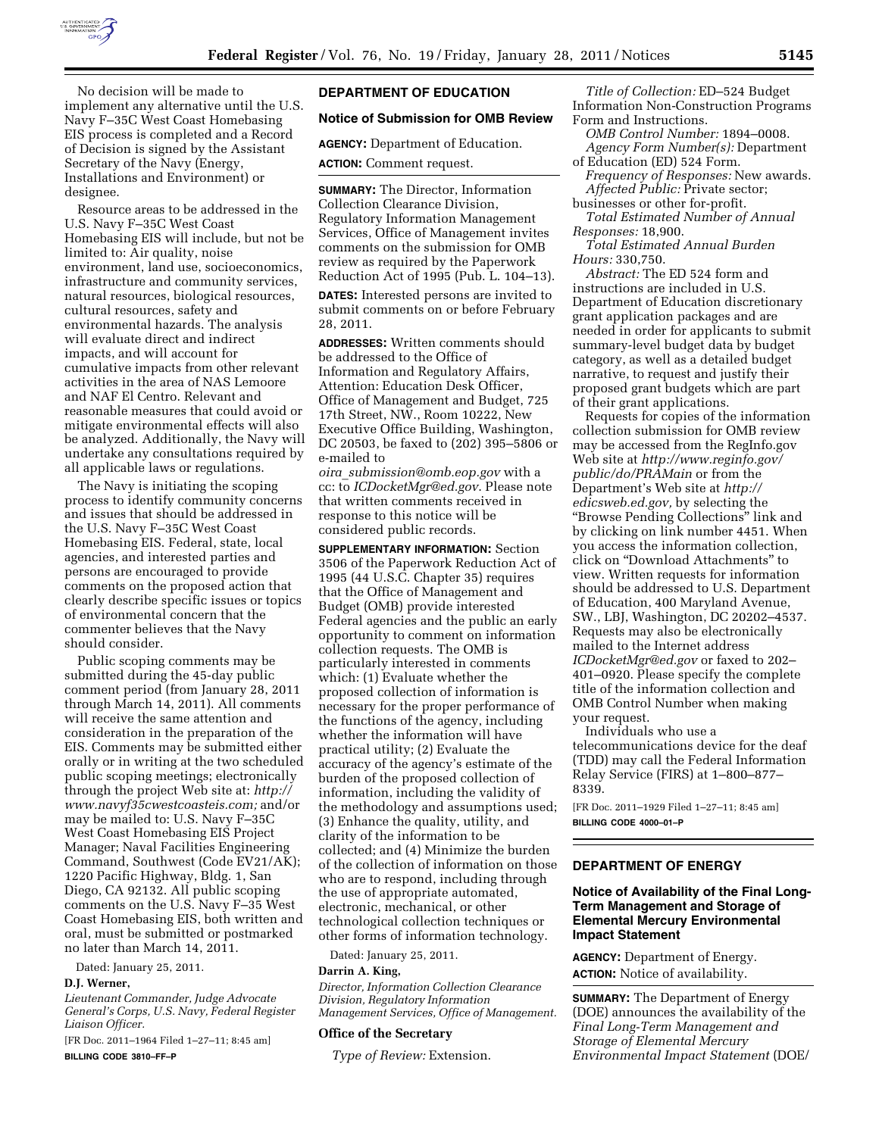

No decision will be made to implement any alternative until the U.S. Navy F–35C West Coast Homebasing EIS process is completed and a Record of Decision is signed by the Assistant Secretary of the Navy (Energy, Installations and Environment) or designee.

Resource areas to be addressed in the U.S. Navy F–35C West Coast Homebasing EIS will include, but not be limited to: Air quality, noise environment, land use, socioeconomics, infrastructure and community services, natural resources, biological resources, cultural resources, safety and environmental hazards. The analysis will evaluate direct and indirect impacts, and will account for cumulative impacts from other relevant activities in the area of NAS Lemoore and NAF El Centro. Relevant and reasonable measures that could avoid or mitigate environmental effects will also be analyzed. Additionally, the Navy will undertake any consultations required by all applicable laws or regulations.

The Navy is initiating the scoping process to identify community concerns and issues that should be addressed in the U.S. Navy F–35C West Coast Homebasing EIS. Federal, state, local agencies, and interested parties and persons are encouraged to provide comments on the proposed action that clearly describe specific issues or topics of environmental concern that the commenter believes that the Navy should consider.

Public scoping comments may be submitted during the 45-day public comment period (from January 28, 2011 through March 14, 2011). All comments will receive the same attention and consideration in the preparation of the EIS. Comments may be submitted either orally or in writing at the two scheduled public scoping meetings; electronically through the project Web site at: *[http://](http://www.navyf35cwestcoasteis.com) [www.navyf35cwestcoasteis.com;](http://www.navyf35cwestcoasteis.com)* and/or may be mailed to: U.S. Navy F–35C West Coast Homebasing EIS Project Manager; Naval Facilities Engineering Command, Southwest (Code EV21/AK); 1220 Pacific Highway, Bldg. 1, San Diego, CA 92132. All public scoping comments on the U.S. Navy F–35 West Coast Homebasing EIS, both written and oral, must be submitted or postmarked no later than March 14, 2011.

Dated: January 25, 2011.

## **D.J. Werner,**

*Lieutenant Commander, Judge Advocate General's Corps, U.S. Navy, Federal Register Liaison Officer.* 

[FR Doc. 2011–1964 Filed 1–27–11; 8:45 am] **BILLING CODE 3810–FF–P** 

# **DEPARTMENT OF EDUCATION**

## **Notice of Submission for OMB Review**

**AGENCY:** Department of Education.

**ACTION:** Comment request.

**SUMMARY:** The Director, Information Collection Clearance Division, Regulatory Information Management Services, Office of Management invites comments on the submission for OMB review as required by the Paperwork Reduction Act of 1995 (Pub. L. 104–13).

**DATES:** Interested persons are invited to submit comments on or before February 28, 2011.

**ADDRESSES:** Written comments should be addressed to the Office of Information and Regulatory Affairs, Attention: Education Desk Officer, Office of Management and Budget, 725 17th Street, NW., Room 10222, New Executive Office Building, Washington, DC 20503, be faxed to (202) 395–5806 or e-mailed to

*oira*\_*[submission@omb.eop.gov](mailto:oira_submission@omb.eop.gov)* with a cc: to *[ICDocketMgr@ed.gov](mailto:ICDocketMgr@ed.gov)*. Please note that written comments received in response to this notice will be considered public records.

**SUPPLEMENTARY INFORMATION:** Section 3506 of the Paperwork Reduction Act of 1995 (44 U.S.C. Chapter 35) requires that the Office of Management and Budget (OMB) provide interested Federal agencies and the public an early opportunity to comment on information collection requests. The OMB is particularly interested in comments which: (1) Evaluate whether the proposed collection of information is necessary for the proper performance of the functions of the agency, including whether the information will have practical utility; (2) Evaluate the accuracy of the agency's estimate of the burden of the proposed collection of information, including the validity of the methodology and assumptions used; (3) Enhance the quality, utility, and clarity of the information to be collected; and (4) Minimize the burden of the collection of information on those who are to respond, including through the use of appropriate automated, electronic, mechanical, or other technological collection techniques or other forms of information technology.

Dated: January 25, 2011.

### **Darrin A. King,**

*Director, Information Collection Clearance Division, Regulatory Information Management Services, Office of Management.* 

### **Office of the Secretary**

*Type of Review:* Extension.

*Title of Collection:* ED–524 Budget Information Non-Construction Programs Form and Instructions.

*OMB Control Number:* 1894–0008. *Agency Form Number(s):* Department

of Education (ED) 524 Form. *Frequency of Responses:* New awards. *Affected Public:* Private sector;

businesses or other for-profit.

*Total Estimated Number of Annual Responses:* 18,900.

*Total Estimated Annual Burden Hours:* 330,750.

*Abstract:* The ED 524 form and instructions are included in U.S. Department of Education discretionary grant application packages and are needed in order for applicants to submit summary-level budget data by budget category, as well as a detailed budget narrative, to request and justify their proposed grant budgets which are part of their grant applications.

Requests for copies of the information collection submission for OMB review may be accessed from the RegInfo.gov Web site at *[http://www.reginfo.gov/](http://www.reginfo.gov/public/do/PRAMain) [public/do/PRAMain](http://www.reginfo.gov/public/do/PRAMain)* or from the Department's Web site at *[http://](http://edicsweb.ed.gov)  [edicsweb.ed.gov,](http://edicsweb.ed.gov)* by selecting the ''Browse Pending Collections'' link and by clicking on link number 4451. When you access the information collection, click on ''Download Attachments'' to view. Written requests for information should be addressed to U.S. Department of Education, 400 Maryland Avenue, SW., LBJ, Washington, DC 20202–4537. Requests may also be electronically mailed to the Internet address *[ICDocketMgr@ed.gov](mailto:ICDocketMgr@ed.gov)* or faxed to 202– 401–0920. Please specify the complete title of the information collection and OMB Control Number when making your request.

Individuals who use a telecommunications device for the deaf (TDD) may call the Federal Information Relay Service (FIRS) at 1–800–877– 8339.

[FR Doc. 2011–1929 Filed 1–27–11; 8:45 am] **BILLING CODE 4000–01–P** 

# **DEPARTMENT OF ENERGY**

# **Notice of Availability of the Final Long-Term Management and Storage of Elemental Mercury Environmental Impact Statement**

**AGENCY:** Department of Energy. **ACTION:** Notice of availability.

**SUMMARY:** The Department of Energy (DOE) announces the availability of the *Final Long-Term Management and Storage of Elemental Mercury Environmental Impact Statement* (DOE/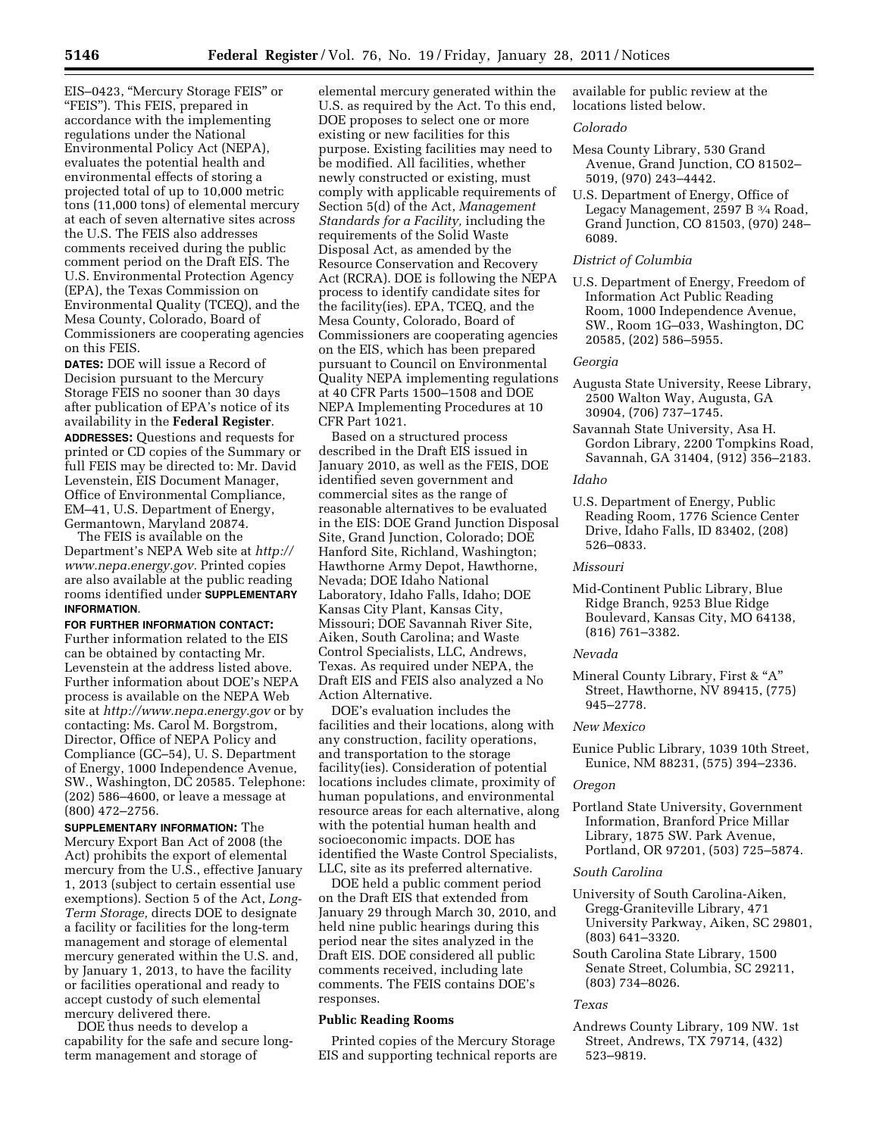EIS–0423, ''Mercury Storage FEIS'' or ''FEIS''). This FEIS, prepared in accordance with the implementing regulations under the National Environmental Policy Act (NEPA), evaluates the potential health and environmental effects of storing a projected total of up to 10,000 metric tons (11,000 tons) of elemental mercury at each of seven alternative sites across the U.S. The FEIS also addresses comments received during the public comment period on the Draft EIS. The U.S. Environmental Protection Agency (EPA), the Texas Commission on Environmental Quality (TCEQ), and the Mesa County, Colorado, Board of Commissioners are cooperating agencies on this FEIS.

**DATES:** DOE will issue a Record of Decision pursuant to the Mercury Storage FEIS no sooner than 30 days after publication of EPA's notice of its availability in the **Federal Register**.

**ADDRESSES:** Questions and requests for printed or CD copies of the Summary or full FEIS may be directed to: Mr. David Levenstein, EIS Document Manager, Office of Environmental Compliance, EM–41, U.S. Department of Energy, Germantown, Maryland 20874.

The FEIS is available on the Department's NEPA Web site at *[http://](http://www.nepa.energy.gov) [www.nepa.energy.gov.](http://www.nepa.energy.gov)* Printed copies are also available at the public reading rooms identified under **SUPPLEMENTARY INFORMATION**.

**FOR FURTHER INFORMATION CONTACT:**  Further information related to the EIS can be obtained by contacting Mr. Levenstein at the address listed above. Further information about DOE's NEPA process is available on the NEPA Web site at *<http://www.nepa.energy.gov>* or by contacting: Ms. Carol M. Borgstrom, Director, Office of NEPA Policy and Compliance (GC–54), U. S. Department of Energy, 1000 Independence Avenue, SW., Washington, DC 20585. Telephone: (202) 586–4600, or leave a message at (800) 472–2756.

**SUPPLEMENTARY INFORMATION:** The Mercury Export Ban Act of 2008 (the Act) prohibits the export of elemental mercury from the U.S., effective January 1, 2013 (subject to certain essential use exemptions). Section 5 of the Act, *Long-Term Storage,* directs DOE to designate a facility or facilities for the long-term management and storage of elemental mercury generated within the U.S. and, by January 1, 2013, to have the facility or facilities operational and ready to accept custody of such elemental mercury delivered there.

DOE thus needs to develop a capability for the safe and secure longterm management and storage of

elemental mercury generated within the U.S. as required by the Act. To this end, DOE proposes to select one or more existing or new facilities for this purpose. Existing facilities may need to be modified. All facilities, whether newly constructed or existing, must comply with applicable requirements of Section 5(d) of the Act, *Management Standards for a Facility,* including the requirements of the Solid Waste Disposal Act, as amended by the Resource Conservation and Recovery Act (RCRA). DOE is following the NEPA process to identify candidate sites for the facility(ies). EPA, TCEQ, and the Mesa County, Colorado, Board of Commissioners are cooperating agencies on the EIS, which has been prepared pursuant to Council on Environmental Quality NEPA implementing regulations at 40 CFR Parts 1500–1508 and DOE NEPA Implementing Procedures at 10 CFR Part 1021.

Based on a structured process described in the Draft EIS issued in January 2010, as well as the FEIS, DOE identified seven government and commercial sites as the range of reasonable alternatives to be evaluated in the EIS: DOE Grand Junction Disposal Site, Grand Junction, Colorado; DOE Hanford Site, Richland, Washington; Hawthorne Army Depot, Hawthorne, Nevada; DOE Idaho National Laboratory, Idaho Falls, Idaho; DOE Kansas City Plant, Kansas City, Missouri; DOE Savannah River Site, Aiken, South Carolina; and Waste Control Specialists, LLC, Andrews, Texas. As required under NEPA, the Draft EIS and FEIS also analyzed a No Action Alternative.

DOE's evaluation includes the facilities and their locations, along with any construction, facility operations, and transportation to the storage facility(ies). Consideration of potential locations includes climate, proximity of human populations, and environmental resource areas for each alternative, along with the potential human health and socioeconomic impacts. DOE has identified the Waste Control Specialists, LLC, site as its preferred alternative.

DOE held a public comment period on the Draft EIS that extended from January 29 through March 30, 2010, and held nine public hearings during this period near the sites analyzed in the Draft EIS. DOE considered all public comments received, including late comments. The FEIS contains DOE's responses.

## **Public Reading Rooms**

Printed copies of the Mercury Storage EIS and supporting technical reports are available for public review at the locations listed below.

# *Colorado*

- Mesa County Library, 530 Grand Avenue, Grand Junction, CO 81502– 5019, (970) 243–4442.
- U.S. Department of Energy, Office of Legacy Management, 2597 B 3⁄4 Road, Grand Junction, CO 81503, (970) 248– 6089.

# *District of Columbia*

U.S. Department of Energy, Freedom of Information Act Public Reading Room, 1000 Independence Avenue, SW., Room 1G–033, Washington, DC 20585, (202) 586–5955.

## *Georgia*

- Augusta State University, Reese Library, 2500 Walton Way, Augusta, GA 30904, (706) 737–1745.
- Savannah State University, Asa H. Gordon Library, 2200 Tompkins Road, Savannah, GA 31404, (912) 356–2183.

### *Idaho*

U.S. Department of Energy, Public Reading Room, 1776 Science Center Drive, Idaho Falls, ID 83402, (208) 526–0833.

*Missouri* 

Mid-Continent Public Library, Blue Ridge Branch, 9253 Blue Ridge Boulevard, Kansas City, MO 64138, (816) 761–3382.

*Nevada* 

Mineral County Library, First & "A" Street, Hawthorne, NV 89415, (775) 945–2778.

#### *New Mexico*

Eunice Public Library, 1039 10th Street, Eunice, NM 88231, (575) 394–2336.

#### *Oregon*

Portland State University, Government Information, Branford Price Millar Library, 1875 SW. Park Avenue, Portland, OR 97201, (503) 725–5874.

### *South Carolina*

- University of South Carolina-Aiken, Gregg-Graniteville Library, 471 University Parkway, Aiken, SC 29801, (803) 641–3320.
- South Carolina State Library, 1500 Senate Street, Columbia, SC 29211, (803) 734–8026.

## *Texas*

Andrews County Library, 109 NW. 1st Street, Andrews, TX 79714, (432) 523–9819.